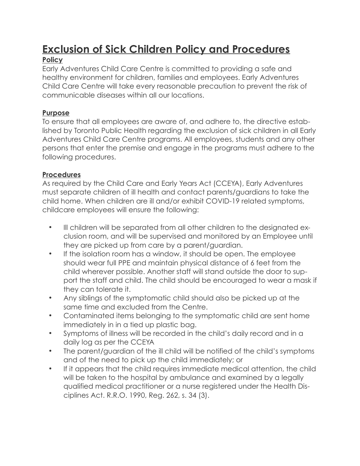# **Exclusion of Sick Children Policy and Procedures**

### **Policy**

Early Adventures Child Care Centre is committed to providing a safe and healthy environment for children, families and employees. Early Adventures Child Care Centre will take every reasonable precaution to prevent the risk of communicable diseases within all our locations.

#### **Purpose**

To ensure that all employees are aware of, and adhere to, the directive established by Toronto Public Health regarding the exclusion of sick children in all Early Adventures Child Care Centre programs. All employees, students and any other persons that enter the premise and engage in the programs must adhere to the following procedures.

#### **Procedures**

As required by the Child Care and Early Years Act (CCEYA), Early Adventures must separate children of ill health and contact parents/guardians to take the child home. When children are ill and/or exhibit COVID-19 related symptoms, childcare employees will ensure the following:

- Ill children will be separated from all other children to the designated exclusion room, and will be supervised and monitored by an Employee until they are picked up from care by a parent/guardian.
- If the isolation room has a window, it should be open. The employee should wear full PPE and maintain physical distance of 6 feet from the child wherever possible. Another staff will stand outside the door to support the staff and child. The child should be encouraged to wear a mask if they can tolerate it.
- Any siblings of the symptomatic child should also be picked up at the same time and excluded from the Centre.
- Contaminated items belonging to the symptomatic child are sent home immediately in in a tied up plastic bag.
- Symptoms of illness will be recorded in the child's daily record and in a daily log as per the CCEYA
- The parent/guardian of the ill child will be notified of the child's symptoms and of the need to pick up the child immediately; or
- If it appears that the child requires immediate medical attention, the child will be taken to the hospital by ambulance and examined by a legally qualified medical practitioner or a nurse registered under the Health Disciplines Act. R.R.O. 1990, Reg. 262, s. 34 (3).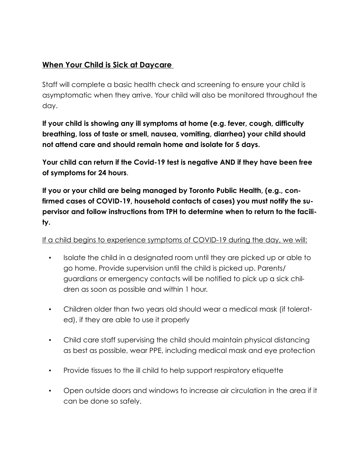## **When Your Child is Sick at Daycare**

Staff will complete a basic health check and screening to ensure your child is asymptomatic when they arrive. Your child will also be monitored throughout the day.

**If your child is showing any ill symptoms at home (e.g. fever, cough, difficulty breathing, loss of taste or smell, nausea, vomiting, diarrhea) your child should not attend care and should remain home and isolate for 5 days.** 

**Your child can return if the Covid-19 test is negative AND if they have been free of symptoms for 24 hours**.

**If you or your child are being managed by Toronto Public Health, (e.g., confirmed cases of COVID-19, household contacts of cases) you must notify the supervisor and follow instructions from TPH to determine when to return to the facility.** 

If a child begins to experience symptoms of COVID-19 during the day, we will:

- Isolate the child in a designated room until they are picked up or able to go home. Provide supervision until the child is picked up. Parents/ guardians or emergency contacts will be notified to pick up a sick children as soon as possible and within 1 hour.
- Children older than two years old should wear a medical mask (if tolerated), if they are able to use it properly
- Child care staff supervising the child should maintain physical distancing as best as possible, wear PPE, including medical mask and eye protection
- Provide tissues to the ill child to help support respiratory etiquette
- Open outside doors and windows to increase air circulation in the area if it can be done so safely.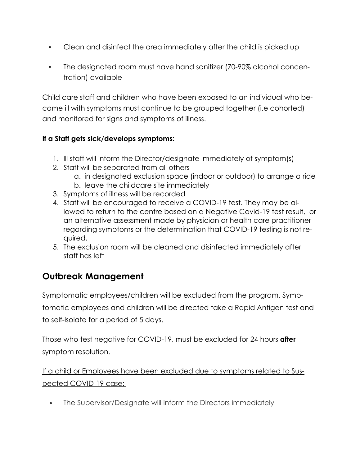- Clean and disinfect the area immediately after the child is picked up
- The designated room must have hand sanitizer (70-90% alcohol concentration) available

Child care staff and children who have been exposed to an individual who became ill with symptoms must continue to be grouped together (i.e cohorted) and monitored for signs and symptoms of illness.

### **If a Staff gets sick/develops symptoms:**

- 1. Ill staff will inform the Director/designate immediately of symptom(s)
- 2. Staff will be separated from all others
	- a. in designated exclusion space (indoor or outdoor) to arrange a ride
	- b. leave the childcare site immediately
- 3. Symptoms of illness will be recorded
- 4. Staff will be encouraged to receive a COVID-19 test. They may be allowed to return to the centre based on a Negative Covid-19 test result, or an alternative assessment made by physician or health care practitioner regarding symptoms or the determination that COVID-19 testing is not required.
- 5. The exclusion room will be cleaned and disinfected immediately after staff has left

# **Outbreak Management**

Symptomatic employees/children will be excluded from the program. Symptomatic employees and children will be directed take a Rapid Antigen test and to self-isolate for a period of 5 days.

Those who test negative for COVID-19, must be excluded for 24 hours **after**  symptom resolution.

If a child or Employees have been excluded due to symptoms related to Suspected COVID-19 case:

• The Supervisor/Designate will inform the Directors immediately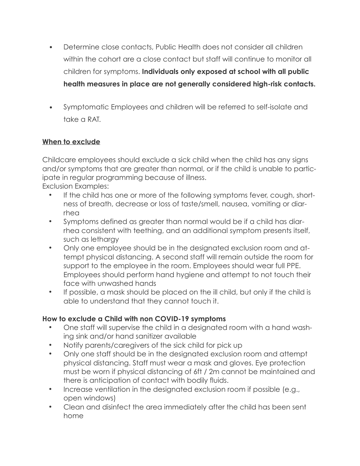- Determine close contacts, Public Health does not consider all children within the cohort are a close contact but staff will continue to monitor all children for symptoms. **Individuals only exposed at school with all public health measures in place are not generally considered high-risk contacts.**
- Symptomatic Employees and children will be referred to self-isolate and take a RAT.

#### **When to exclude**

Childcare employees should exclude a sick child when the child has any signs and/or symptoms that are greater than normal, or if the child is unable to participate in regular programming because of illness.

Exclusion Examples:

- If the child has one or more of the following symptoms fever, cough, shortness of breath, decrease or loss of taste/smell, nausea, vomiting or diarrhea
- Symptoms defined as greater than normal would be if a child has diarrhea consistent with teething, and an additional symptom presents itself, such as lethargy
- Only one employee should be in the designated exclusion room and attempt physical distancing. A second staff will remain outside the room for support to the employee in the room. Employees should wear full PPE. Employees should perform hand hygiene and attempt to not touch their face with unwashed hands
- If possible, a mask should be placed on the ill child, but only if the child is able to understand that they cannot touch it.

#### **How to exclude a Child with non COVID-19 symptoms**

- One staff will supervise the child in a designated room with a hand washing sink and/or hand sanitizer available
- Notify parents/caregivers of the sick child for pick up
- Only one staff should be in the designated exclusion room and attempt physical distancing. Staff must wear a mask and gloves. Eye protection must be worn if physical distancing of 6ft / 2m cannot be maintained and there is anticipation of contact with bodily fluids.
- Increase ventilation in the designated exclusion room if possible (e.g., open windows)
- Clean and disinfect the area immediately after the child has been sent home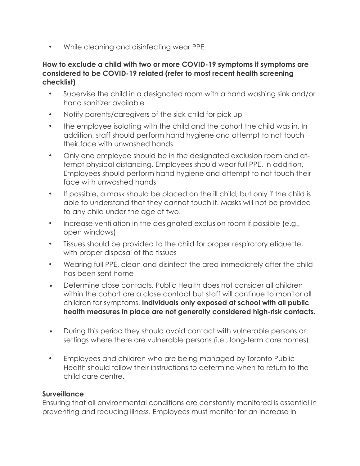• While cleaning and disinfecting wear PPE

#### **How to exclude a child with two or more COVID-19 symptoms if symptoms are considered to be COVID-19 related (refer to most recent health screening checklist)**

- Supervise the child in a designated room with a hand washing sink and/or hand sanitizer available
- Notify parents/caregivers of the sick child for pick up
- the employee isolating with the child and the cohort the child was in. In addition, staff should perform hand hygiene and attempt to not touch their face with unwashed hands
- Only one employee should be in the designated exclusion room and attempt physical distancing. Employees should wear full PPE. In addition, Employees should perform hand hygiene and attempt to not touch their face with unwashed hands
- If possible, a mask should be placed on the ill child, but only if the child is able to understand that they cannot touch it. Masks will not be provided to any child under the age of two.
- Increase ventilation in the designated exclusion room if possible (e.g., open windows)
- Tissues should be provided to the child for proper respiratory etiquette, with proper disposal of the tissues
- Wearing full PPE, clean and disinfect the area immediately after the child has been sent home
- Determine close contacts, Public Health does not consider all children within the cohort are a close contact but staff will continue to monitor all children for symptoms. **Individuals only exposed at school with all public health measures in place are not generally considered high-risk contacts.**
- During this period they should avoid contact with vulnerable persons or settings where there are vulnerable persons (i.e., long-term care homes)
- Employees and children who are being managed by Toronto Public Health should follow their instructions to determine when to return to the child care centre.

#### **Surveillance**

Ensuring that all environmental conditions are constantly monitored is essential in preventing and reducing illness. Employees must monitor for an increase in